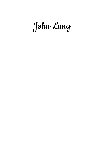John Lang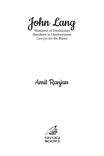John Lang

Slanderer in Hindoostanee Lawyer for the Ranee

# Amit Ranjan

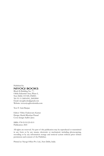#### Published by **NIYOGI BOOKS**

Block D, Building No. 77, Okhla Industrial Area, Phase-I, New Delhi-110 020, INDIA Tel: 91-11-26816301, 26818960 Email: niyogibooks@gmail.com Website: www.niyogibooksindia.com

Text © Amit Ranjan

Editor: Vibha Chakravarty Kumar Design: Shashi Bhushan Prasad Cover design: Sadhvi Jawa

ISBN: 978-93-91125-05-9 Publication: 2021

All rights are reserved. No part of this publication may be reproduced or transmitted in any form or by any means, electronic or mechanical, including photocopying, recording or by any information storage and retrieval system without prior written permission and consent of the Publisher.

Printed at: Niyogi Offset Pvt. Ltd., New Delhi, India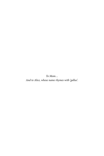*To Mom…*

*And to Alice, whose name rhymes with 'gallus'.*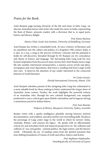#### *Praise for the Book*:

Amit Ranjan's page-turning chronicle of the life and times of John Lang—an obscure Australian lawyer and writer who made his career in India, representing the Rani of Jhansi—presents readers with a diversion that is, in equal parts, history and literary delight.

> *Prof. Kama Maclean History Chair, South Asia Institute, University of Heidelberg, Germany*

Amit Ranjan has written a remarkable book. At once a history of literature and an expedition into the culture and politics of a forgotten 19th century India, it is also, in a way, a song to the process of literary criticism and the potential it holds for self-discovery, threaded through by Dr Ranjan's eye for coincidence and rhyme in history and language. The fascinating John Lang took his own fiction's inspiration from Boccaccio's meta-stories; here Amit Ranjan turns Lang's life into another intertextual metanarrative, a journey across novels and plays, newspapers and court depositions, that traces a winding trail from Lang's world into ours. It deserves the attention of any reader interested in the connected histories of world literature.

> *Dr Carlos Grenier, Florida International University, Miami, USA*

Amit Ranjan's relentless pursuit of the intriguing John Lang has culminated in a most valuable book for those seeking to better understand the *longue duree* of Australia's Asian context. Further, the work highlights the powerful witness of an Australian who, through his own colonial background, was uniquely positioned to cast a critical gaze upon British colonialism and its legacies during a momentous period in Indian history.

> *Prof. Sean Brawley Professor of History, Macquarie University, Sydney, Australia*

Ranjan writes with a quirky intelligence playfully moving between archival documentation, oral tradition, anecdote and his own storytelling skills. He places the personage of Lang center stage in the world in which he moved—India, Australia, Britain—and assesses his legacy. He speaks with an affectionately critical eye and articulates fresh and nuanced perspectives on the collusion and collision of race and gender, colonial politics, the legal system, and the literary world. Ultimately, the joy of reading comes from the spirited narration that tests shifting boundaries of visions of truth and ethics, history and fiction.

> *Prof. Stephanos Stephanides, Founding faculty of University of Cyprus*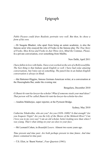## Epigraph

*Pablo Picasso could draw Realistic portraits very well. But then, he chose a form of his own.*

—Dr Saugata Bhaduri, who apart from being an astute academic, is also the famous actor who essayed the role of Fooko in the famous play *The True Story of Fooko, Shoe Kriya and Fooko in Just Three Acts*, *Mind the Commas, Please*. In a private conversation, over something from Malibu.

New Delhi, April 2011

*I have fallen in love with India. I have even worked on the sets of a Bollywood film. The best thing is that Indians speak English so well. I have had some amazing conversations, but I miss out on something. The punch line in an Indian-English conversation is always in Hindi.* 

—Ida Hattemer-Higgins, famous German-American writer, at a conversation at the Haseraghatta Bar, under the evening star.

Bengaluru, December 2010

*O Jhansi-ki-rani-ka-lawyer-ka-scholar! What if someone steals your mad ideas? That person will be called Jhansi-ki-rani-ka-lawyer-ka-scholar-ka-chor.*

—Anahita Mukherjee, super reporter, at the Pyrmont Bridge.

Sydney, May 2010

*Catherine Tekakwitha, who are you? Are you (1656–1680)? Is that enough? Are you Iroquois Virgin? Are you the Lily of the Shores of the Mohawk River? Can I love you in my own way? I am an old scholar, better-looking now than when I was young. That's what sitting on your ass does to your face.* 

—Mr Leonard Cohen, in *Beautiful Losers.* Almost two score years ago.

*Time present and time past. Are both perhaps present in time future. And time future contained in time past.*

—T.S. Eliot, in 'Burnt Norton', *Four Quartets* (1941)*.*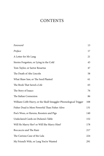## **CONTENTS**

| Foreword                                                        | 13  |
|-----------------------------------------------------------------|-----|
| Preface                                                         | 17  |
| A Letter for Mr Lang                                            | 21  |
| Stories Forgotten, or Lying in the Cold                         | 43  |
| Tom Taylor, or Sartor Resartus                                  | 47  |
| The Death of Abe Lincoln                                        | 58  |
| What Shaw Saw, or The Seed Planted                              | 61  |
| The Book That Saved a Life                                      | 65  |
| The Story of Isaacs                                             | 76  |
| The Italian Connexion                                           | 86  |
| William Cobb Hurry, or the Skull Smuggler Phrenological Trigger | 108 |
| Fisher Dead is More Powerful Than Fisher Alive                  | 131 |
| Poe's Woes, or Ravens, Roosters and Pigs                        | 140 |
| Undeclared Cards on Dickens's Table                             | 152 |
| Will He Marry Her? or Will She Marry Him?                       | 178 |
| Boccaccio and The Rani                                          | 217 |
| The Curious Case of the Lala                                    | 224 |
| My Friend's Wife, or Lang You're Wanted                         | 291 |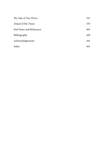| The Tale of Two Wives    | 347 |
|--------------------------|-----|
| Ahead of His Times       | 370 |
| End Notes and References | 403 |
| Bibliography             | 428 |
| Acknowledgements         | 441 |
| Index                    | 461 |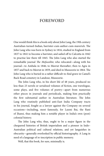### FOREWORD

One would think this is a book only about John Lang, the 19th century Australian-turned-Indian, barrister-cum-author-cum-maverick. The John Lang who was born in Sydney in 1816, studied in England from 1837 to 1841 to become a barrister, and sailed off to Calcutta in 1842 to practise law there till 1845. The John Lang who also started the remarkable journal *The Mofussilite*; who relocated—along with his journal—to Ambala in 1846; to Meerut thereafter; then to Agra in 1857 and back to Meerut in 1859, and died in Mussoorie in 1864. The John Lang who is buried in a rather difficult-to-find grave in Camel's Back Road cemetery in Landour, Mussoorie.

The John Lang who, in his short life of 48 years, produced no less than 23 novels or serialised volumes of fiction, one travelogue, some plays, and five volumes of poetry—apart from numerous other pieces in journals and periodicals, making him practically the first substantial author in Australian literature. The John Lang who routinely published anti-East India Company tracts in his journal, fought as a lawyer against the Company on several occasions—including, most famously, for Laxmi Bai, the Rani of Jhansi, thus making him a notable player in India's own (post) colonial history.

The John Lang who, thus, ought to be a major figure in the chequered histories of British imperialism and a pioneer in Indo– Australian political and cultural relations, and yet languishes in obscurity—generally overlooked by official historiography. A Lang in need of a language of re-inscription in public memory.

Well, that this book, for sure, minimally is.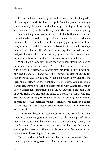John Lang

It is indeed a meticulously researched work on John Lang—his life, his exploits, and his literary output. Amit Ranjan spent nearly a decade chasing this elusive and yet so important figure down musty archives and dusty by-lanes, through ghostly cemeteries and ghastly bureaucratic tangles, across India and Australia. In that chase, Ranjan has collected an incredible corpus of material and anecdotes, which is presented here to piece together the complex jigsaw puzzle that John Lang seemingly is. All this has been buttressed with several fellowships to visit Australia and the US for conducting this research—a fullfledged doctoral dissertation emerging out of the process, and numerous publications and media appearances on the subject.

While Ruskin Bond was indeed the first to have attempted to bring John Lang out of the bushes in 1964—by discovering his shrubberyridden grave in Mussoorie a century after his death, and writing about him and his stories—Lang was still to remain in utter obscurity for four more decades. It was only in late 2002, when Rory Medcalf, the then spokesperson of the Australian High Commission in India, started researching on Lang in collaboration with Australian scholar Victor Crittenden—resulting in a book by Crittenden on John Lang in 2005. There was also the unveiling of a plaque at Christ Church, Mussoorie, on 15 August 2005 by the Australian High Commission in memory of the 'barrister, writer, journalist, wanderer, and editor of *The Mofussilite*, the first Australian-born novelist...a brilliant and restless soul'.

Amit Ranjan began his research on John Lang around this time. It will not be an exaggeration to say that, while the couple of efforts mentioned above may have sown early seeds of Lang revival, it is Amit's sustained enterprise over the years that has brought Lang to greater public attention. There is a plethora of academic events and publications blossoming on Lang now.

This book does indeed bear out the toils and the fruits of such singular pathbreaking research: the almost mystical pursuit by a